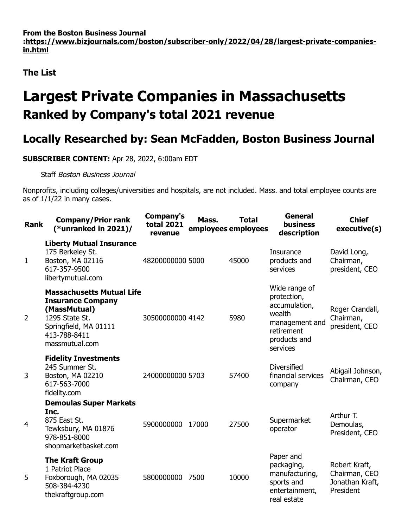**From the Boston Business Journal [:https://www.bizjournals.com/boston/subscriber-only/2022/04/28/largest-private-companies](https://www.bizjournals.com/boston/subscriber-only/2022/04/28/largest-private-companies-in.html)in.html**

**The List**

## **Largest Private Companies in Massachusetts Ranked by Company's total 2021 revenue**

## **Locally Researched by: Sean McFadden, Boston Business Journal**

**SUBSCRIBER CONTENT:** Apr 28, 2022, 6:00am EDT

Staff Boston Business Journal

Nonprofits, including colleges/universities and hospitals, are not included. Mass. and total employee counts are as of 1/1/22 in many cases.

| <b>Rank</b>    | <b>Company/Prior rank</b><br>(*unranked in $2021$ )/                                                                                                      | Company's<br><b>total 2021</b><br>revenue | Mass. | <b>Total</b><br>employees employees | <b>General</b><br><b>business</b><br>description                                                                    | <b>Chief</b><br>executive(s)                                   |
|----------------|-----------------------------------------------------------------------------------------------------------------------------------------------------------|-------------------------------------------|-------|-------------------------------------|---------------------------------------------------------------------------------------------------------------------|----------------------------------------------------------------|
| 1              | <b>Liberty Mutual Insurance</b><br>175 Berkeley St.<br>Boston, MA 02116<br>617-357-9500<br>libertymutual.com                                              | 48200000000 5000                          |       | 45000                               | Insurance<br>products and<br>services                                                                               | David Long,<br>Chairman,<br>president, CEO                     |
| 2              | <b>Massachusetts Mutual Life</b><br><b>Insurance Company</b><br>(MassMutual)<br>1295 State St.<br>Springfield, MA 01111<br>413-788-8411<br>massmutual.com | 30500000000 4142                          |       | 5980                                | Wide range of<br>protection,<br>accumulation,<br>wealth<br>management and<br>retirement<br>products and<br>services | Roger Crandall,<br>Chairman,<br>president, CEO                 |
| 3              | <b>Fidelity Investments</b><br>245 Summer St.<br>Boston, MA 02210<br>617-563-7000<br>fidelity.com                                                         | 24000000000 5703                          |       | 57400                               | <b>Diversified</b><br>financial services<br>company                                                                 | Abigail Johnson,<br>Chairman, CEO                              |
| $\overline{4}$ | <b>Demoulas Super Markets</b><br>Inc.<br>875 East St.<br>Tewksbury, MA 01876<br>978-851-8000<br>shopmarketbasket.com                                      | 5900000000                                | 17000 | 27500                               | Supermarket<br>operator                                                                                             | Arthur T.<br>Demoulas,<br>President, CEO                       |
| 5              | <b>The Kraft Group</b><br>1 Patriot Place<br>Foxborough, MA 02035<br>508-384-4230<br>thekraftgroup.com                                                    | 5800000000                                | 7500  | 10000                               | Paper and<br>packaging,<br>manufacturing,<br>sports and<br>entertainment,<br>real estate                            | Robert Kraft,<br>Chairman, CEO<br>Jonathan Kraft,<br>President |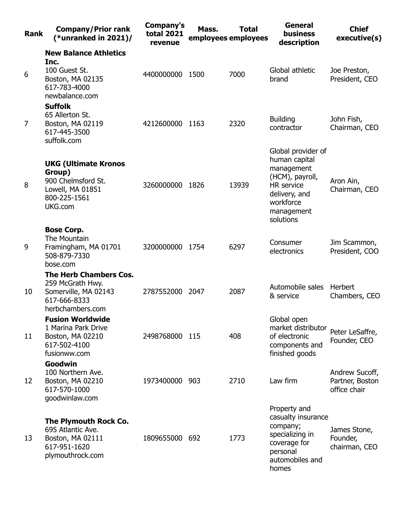| <b>Rank</b> | <b>Company/Prior rank</b><br>(*unranked in $2021$ )/                                                          | Company's<br><b>total 2021</b><br>revenue | Mass. | <b>Total</b><br>employees employees | <b>General</b><br><b>business</b><br>description                                                                                                   | <b>Chief</b><br>executive(s)                      |
|-------------|---------------------------------------------------------------------------------------------------------------|-------------------------------------------|-------|-------------------------------------|----------------------------------------------------------------------------------------------------------------------------------------------------|---------------------------------------------------|
|             | <b>New Balance Athletics</b>                                                                                  |                                           |       |                                     |                                                                                                                                                    |                                                   |
| 6           | Inc.<br>100 Guest St.<br>Boston, MA 02135<br>617-783-4000<br>newbalance.com                                   | 4400000000 1500                           |       | 7000                                | Global athletic<br>brand                                                                                                                           | Joe Preston,<br>President, CEO                    |
| 7           | <b>Suffolk</b><br>65 Allerton St.<br>Boston, MA 02119<br>617-445-3500<br>suffolk.com                          | 4212600000 1163                           |       | 2320                                | <b>Building</b><br>contractor                                                                                                                      | John Fish,<br>Chairman, CEO                       |
| 8           | <b>UKG (Ultimate Kronos</b><br>Group)<br>900 Chelmsford St.<br>Lowell, MA 01851<br>800-225-1561<br>UKG.com    | 3260000000 1826                           |       | 13939                               | Global provider of<br>human capital<br>management<br>(HCM), payroll,<br><b>HR</b> service<br>delivery, and<br>workforce<br>management<br>solutions | Aron Ain,<br>Chairman, CEO                        |
| 9           | <b>Bose Corp.</b><br>The Mountain<br>Framingham, MA 01701<br>508-879-7330<br>bose.com                         | 3200000000                                | 1754  | 6297                                | Consumer<br>electronics                                                                                                                            | Jim Scammon,<br>President, COO                    |
| 10          | <b>The Herb Chambers Cos.</b><br>259 McGrath Hwy.<br>Somerville, MA 02143<br>617-666-8333<br>herbchambers.com | 2787552000 2047                           |       | 2087                                | Automobile sales<br>& service                                                                                                                      | <b>Herbert</b><br>Chambers, CEO                   |
| 11          | <b>Fusion Worldwide</b><br>1 Marina Park Drive<br>Boston, MA 02210<br>617-502-4100<br>fusionww.com            | 2498768000 115                            |       | 408                                 | Global open<br>market distributor<br>of electronic<br>components and<br>finished goods                                                             | Peter LeSaffre,<br>Founder, CEO                   |
| 12          | Goodwin<br>100 Northern Ave.<br>Boston, MA 02210<br>617-570-1000<br>goodwinlaw.com                            | 1973400000 903                            |       | 2710                                | Law firm                                                                                                                                           | Andrew Sucoff,<br>Partner, Boston<br>office chair |
| 13          | The Plymouth Rock Co.<br>695 Atlantic Ave.<br>Boston, MA 02111<br>617-951-1620<br>plymouthrock.com            | 1809655000 692                            |       | 1773                                | Property and<br>casualty insurance<br>company;<br>specializing in<br>coverage for<br>personal<br>automobiles and<br>homes                          | James Stone,<br>Founder,<br>chairman, CEO         |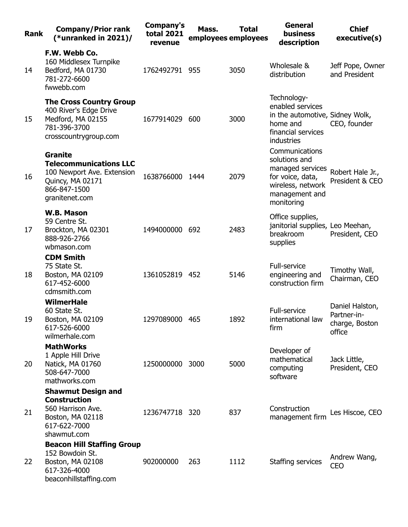| <b>Rank</b> | <b>Company/Prior rank</b><br>(*unranked in $2021$ )/                                                                                | <b>Company's</b><br><b>total 2021</b><br>revenue | Mass. | <b>Total</b><br>employees employees | <b>General</b><br>business<br>description                                                                                    | <b>Chief</b><br>executive(s)                               |
|-------------|-------------------------------------------------------------------------------------------------------------------------------------|--------------------------------------------------|-------|-------------------------------------|------------------------------------------------------------------------------------------------------------------------------|------------------------------------------------------------|
| 14          | F.W. Webb Co.<br>160 Middlesex Turnpike<br>Bedford, MA 01730<br>781-272-6600<br>fwwebb.com                                          | 1762492791 955                                   |       | 3050                                | Wholesale &<br>distribution                                                                                                  | Jeff Pope, Owner<br>and President                          |
| 15          | <b>The Cross Country Group</b><br>400 River's Edge Drive<br>Medford, MA 02155<br>781-396-3700<br>crosscountrygroup.com              | 1677914029 600                                   |       | 3000                                | Technology-<br>enabled services<br>in the automotive, Sidney Wolk,<br>home and<br>financial services<br>industries           | CEO, founder                                               |
| 16          | <b>Granite</b><br><b>Telecommunications LLC</b><br>100 Newport Ave. Extension<br>Quincy, MA 02171<br>866-847-1500<br>granitenet.com | 1638766000                                       | 1444  | 2079                                | Communications<br>solutions and<br>managed services<br>for voice, data,<br>wireless, network<br>management and<br>monitoring | Robert Hale Jr.,<br>President & CEO                        |
| 17          | W.B. Mason<br>59 Centre St.<br>Brockton, MA 02301<br>888-926-2766<br>wbmason.com                                                    | 1494000000 692                                   |       | 2483                                | Office supplies,<br>janitorial supplies, Leo Meehan,<br>breakroom<br>supplies                                                | President, CEO                                             |
| 18          | <b>CDM Smith</b><br>75 State St.<br>Boston, MA 02109<br>617-452-6000<br>cdmsmith.com                                                | 1361052819 452                                   |       | 5146                                | <b>Full-service</b><br>engineering and<br>construction firm                                                                  | Timothy Wall,<br>Chairman, CEO                             |
| 19          | <b>WilmerHale</b><br>60 State St.<br>Boston, MA 02109<br>617-526-6000<br>wilmerhale.com                                             | 1297089000                                       | 465   | 1892                                | Full-service<br>international law<br>firm                                                                                    | Daniel Halston,<br>Partner-in-<br>charge, Boston<br>office |
| 20          | <b>MathWorks</b><br>1 Apple Hill Drive<br>Natick, MA 01760<br>508-647-7000<br>mathworks.com                                         | 1250000000 3000                                  |       | 5000                                | Developer of<br>mathematical<br>computing<br>software                                                                        | Jack Little,<br>President, CEO                             |
| 21          | <b>Shawmut Design and</b><br><b>Construction</b><br>560 Harrison Ave.<br>Boston, MA 02118<br>617-622-7000<br>shawmut.com            | 1236747718 320                                   |       | 837                                 | Construction<br>management firm                                                                                              | Les Hiscoe, CEO                                            |
| 22          | <b>Beacon Hill Staffing Group</b><br>152 Bowdoin St.<br>Boston, MA 02108<br>617-326-4000<br>beaconhillstaffing.com                  | 902000000                                        | 263   | 1112                                | Staffing services                                                                                                            | Andrew Wang,<br><b>CEO</b>                                 |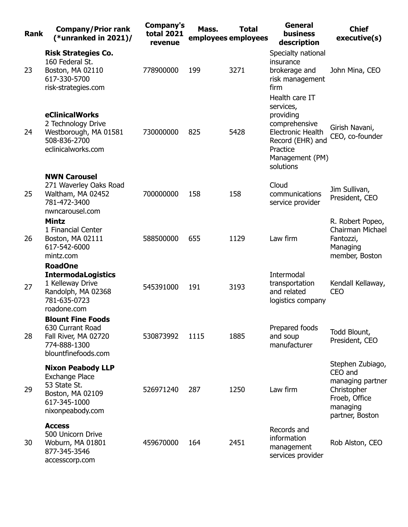| <b>Rank</b> | <b>Company/Prior rank</b><br>(*unranked in $2021$ )/                                                                      | <b>Company's</b><br><b>total 2021</b><br>revenue | Mass. | <b>Total</b><br>employees employees | <b>General</b><br>business<br>description                                                                                                             | <b>Chief</b><br>executive(s)                                                                                   |
|-------------|---------------------------------------------------------------------------------------------------------------------------|--------------------------------------------------|-------|-------------------------------------|-------------------------------------------------------------------------------------------------------------------------------------------------------|----------------------------------------------------------------------------------------------------------------|
| 23          | <b>Risk Strategies Co.</b><br>160 Federal St.<br>Boston, MA 02110<br>617-330-5700<br>risk-strategies.com                  | 778900000                                        | 199   | 3271                                | Specialty national<br>insurance<br>brokerage and<br>risk management<br>firm                                                                           | John Mina, CEO                                                                                                 |
| 24          | eClinicalWorks<br>2 Technology Drive<br>Westborough, MA 01581<br>508-836-2700<br>eclinicalworks.com                       | 730000000                                        | 825   | 5428                                | Health care IT<br>services,<br>providing<br>comprehensive<br><b>Electronic Health</b><br>Record (EHR) and<br>Practice<br>Management (PM)<br>solutions | Girish Navani,<br>CEO, co-founder                                                                              |
| 25          | <b>NWN Carousel</b><br>271 Waverley Oaks Road<br>Waltham, MA 02452<br>781-472-3400<br>nwncarousel.com                     | 700000000                                        | 158   | 158                                 | Cloud<br>communications<br>service provider                                                                                                           | Jim Sullivan,<br>President, CEO                                                                                |
| 26          | <b>Mintz</b><br>1 Financial Center<br>Boston, MA 02111<br>617-542-6000<br>mintz.com                                       | 588500000                                        | 655   | 1129                                | Law firm                                                                                                                                              | R. Robert Popeo,<br>Chairman Michael<br>Fantozzi,<br>Managing<br>member, Boston                                |
| 27          | <b>RoadOne</b><br><b>IntermodaLogistics</b><br>1 Kelleway Drive<br>Randolph, MA 02368<br>781-635-0723<br>roadone.com      | 545391000                                        | 191   | 3193                                | Intermodal<br>transportation<br>and related<br>logistics company                                                                                      | Kendall Kellaway,<br><b>CEO</b>                                                                                |
| 28          | <b>Blount Fine Foods</b><br>630 Currant Road<br>Fall River, MA 02720<br>774-888-1300<br>blountfinefoods.com               | 530873992                                        | 1115  | 1885                                | Prepared foods<br>and soup<br>manufacturer                                                                                                            | Todd Blount,<br>President, CEO                                                                                 |
| 29          | <b>Nixon Peabody LLP</b><br><b>Exchange Place</b><br>53 State St.<br>Boston, MA 02109<br>617-345-1000<br>nixonpeabody.com | 526971240                                        | 287   | 1250                                | Law firm                                                                                                                                              | Stephen Zubiago,<br>CEO and<br>managing partner<br>Christopher<br>Froeb, Office<br>managing<br>partner, Boston |
| 30          | <b>Access</b><br>500 Unicorn Drive<br>Woburn, MA 01801<br>877-345-3546<br>accesscorp.com                                  | 459670000                                        | 164   | 2451                                | Records and<br>information<br>management<br>services provider                                                                                         | Rob Alston, CEO                                                                                                |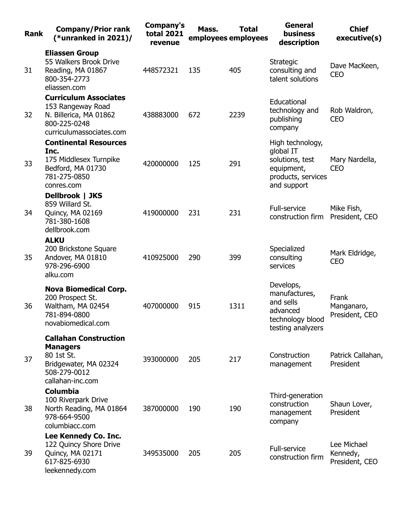| <b>Rank</b> | <b>Company/Prior rank</b><br>(*unranked in 2021)/                                                                          | Company's<br><b>total 2021</b><br>revenue | Mass. | <b>Total</b><br>employees employees | <b>General</b><br>business<br>description                                                           | <b>Chief</b><br>executive(s)              |
|-------------|----------------------------------------------------------------------------------------------------------------------------|-------------------------------------------|-------|-------------------------------------|-----------------------------------------------------------------------------------------------------|-------------------------------------------|
| 31          | <b>Eliassen Group</b><br>55 Walkers Brook Drive<br>Reading, MA 01867<br>800-354-2773<br>eliassen.com                       | 448572321                                 | 135   | 405                                 | Strategic<br>consulting and<br>talent solutions                                                     | Dave MacKeen,<br><b>CEO</b>               |
| 32          | <b>Curriculum Associates</b><br>153 Rangeway Road<br>N. Billerica, MA 01862<br>800-225-0248<br>curriculumassociates.com    | 438883000                                 | 672   | 2239                                | Educational<br>technology and<br>publishing<br>company                                              | Rob Waldron,<br><b>CEO</b>                |
| 33          | <b>Continental Resources</b><br>Inc.<br>175 Middlesex Turnpike<br>Bedford, MA 01730<br>781-275-0850<br>conres.com          | 420000000                                 | 125   | 291                                 | High technology,<br>global IT<br>solutions, test<br>equipment,<br>products, services<br>and support | Mary Nardella,<br><b>CEO</b>              |
| 34          | Dellbrook   JKS<br>859 Willard St.<br>Quincy, MA 02169<br>781-380-1608<br>dellbrook.com                                    | 419000000                                 | 231   | 231                                 | Full-service<br>construction firm                                                                   | Mike Fish,<br>President, CEO              |
| 35          | <b>ALKU</b><br>200 Brickstone Square<br>Andover, MA 01810<br>978-296-6900<br>alku.com                                      | 410925000                                 | 290   | 399                                 | Specialized<br>consulting<br>services                                                               | Mark Eldridge,<br><b>CEO</b>              |
| 36          | <b>Nova Biomedical Corp.</b><br>200 Prospect St.<br>Waltham, MA 02454<br>781-894-0800<br>novabiomedical.com                | 407000000                                 | 915   | 1311                                | Develops,<br>manufactures,<br>and sells<br>advanced<br>technology blood<br>testing analyzers        | Frank<br>Manganaro,<br>President, CEO     |
| 37          | <b>Callahan Construction</b><br><b>Managers</b><br>80 1st St.<br>Bridgewater, MA 02324<br>508-279-0012<br>callahan-inc.com | 393000000                                 | 205   | 217                                 | Construction<br>management                                                                          | Patrick Callahan,<br>President            |
| 38          | <b>Columbia</b><br>100 Riverpark Drive<br>North Reading, MA 01864<br>978-664-9500<br>columbiacc.com                        | 387000000                                 | 190   | 190                                 | Third-generation<br>construction<br>management<br>company                                           | Shaun Lover,<br>President                 |
| 39          | Lee Kennedy Co. Inc.<br>122 Quincy Shore Drive<br>Quincy, MA 02171<br>617-825-6930<br>leekennedy.com                       | 349535000                                 | 205   | 205                                 | Full-service<br>construction firm                                                                   | Lee Michael<br>Kennedy,<br>President, CEO |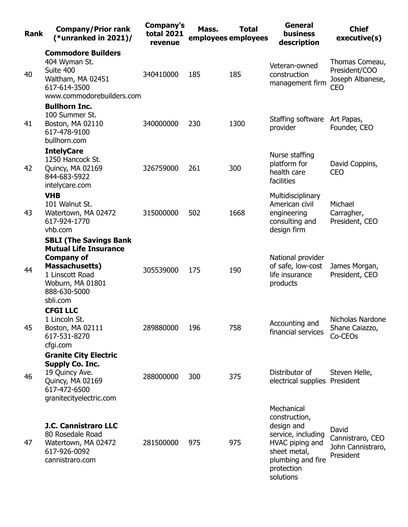| <b>Rank</b> | <b>Company/Prior rank</b><br>(*unranked in $2021$ )/                                                                                                                           | Company's<br><b>total 2021</b><br>revenue | Mass. | <b>Total</b><br>employees employees | <b>General</b><br><b>business</b><br>description                                                                                                   | <b>Chief</b><br>executive(s)                                |
|-------------|--------------------------------------------------------------------------------------------------------------------------------------------------------------------------------|-------------------------------------------|-------|-------------------------------------|----------------------------------------------------------------------------------------------------------------------------------------------------|-------------------------------------------------------------|
| 40          | <b>Commodore Builders</b><br>404 Wyman St.<br>Suite 400<br>Waltham, MA 02451<br>617-614-3500<br>www.commodorebuilders.com                                                      | 340410000                                 | 185   | 185                                 | Veteran-owned<br>construction<br>management firm                                                                                                   | Thomas Comeau,<br>President/COO<br>Joseph Albanese,<br>CEO  |
| 41          | <b>Bullhorn Inc.</b><br>100 Summer St.<br>Boston, MA 02110<br>617-478-9100<br>bullhorn.com                                                                                     | 340000000                                 | 230   | 1300                                | Staffing software<br>provider                                                                                                                      | Art Papas,<br>Founder, CEO                                  |
| 42          | <b>IntelyCare</b><br>1250 Hancock St.<br>Quincy, MA 02169<br>844-683-5922<br>intelycare.com                                                                                    | 326759000                                 | 261   | 300                                 | Nurse staffing<br>platform for<br>health care<br>facilities                                                                                        | David Coppins,<br><b>CEO</b>                                |
| 43          | <b>VHB</b><br>101 Walnut St.<br>Watertown, MA 02472<br>617-924-1770<br>vhb.com                                                                                                 | 315000000                                 | 502   | 1668                                | Multidisciplinary<br>American civil<br>engineering<br>consulting and<br>design firm                                                                | Michael<br>Carragher,<br>President, CEO                     |
| 44          | <b>SBLI (The Savings Bank</b><br><b>Mutual Life Insurance</b><br><b>Company of</b><br><b>Massachusetts)</b><br>1 Linscott Road<br>Woburn, MA 01801<br>888-630-5000<br>sbli.com | 305539000                                 | 175   | 190                                 | National provider<br>of safe, low-cost<br>life insurance<br>products                                                                               | James Morgan,<br>President, CEO                             |
| 45          | <b>CFGI LLC</b><br>1 Lincoln St.<br>Boston, MA 02111<br>617-531-8270<br>cfgi.com                                                                                               | 289880000                                 | 196   | 758                                 | Accounting and<br>financial services                                                                                                               | Nicholas Nardone<br>Shane Caiazzo,<br>Co-CEO <sub>s</sub>   |
| 46          | <b>Granite City Electric</b><br><b>Supply Co. Inc.</b><br>19 Quincy Ave.<br>Quincy, MA 02169<br>617-472-6500<br>granitecityelectric.com                                        | 288000000                                 | 300   | 375                                 | Distributor of<br>electrical supplies President                                                                                                    | Steven Helle,                                               |
| 47          | <b>J.C. Cannistraro LLC</b><br>80 Rosedale Road<br>Watertown, MA 02472<br>617-926-0092<br>cannistraro.com                                                                      | 281500000                                 | 975   | 975                                 | Mechanical<br>construction,<br>design and<br>service, including<br>HVAC piping and<br>sheet metal,<br>plumbing and fire<br>protection<br>solutions | David<br>Cannistraro, CEO<br>John Cannistraro,<br>President |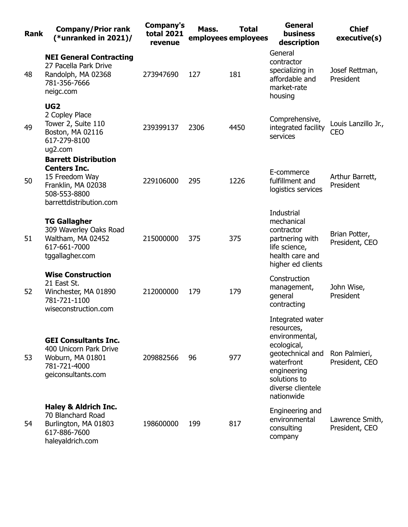| <b>Rank</b> | <b>Company/Prior rank</b><br>(*unranked in $2021$ )/                                                                                  | <b>Company's</b><br><b>total 2021</b><br>revenue | Mass. | <b>Total</b><br>employees employees | <b>General</b><br><b>business</b><br>description                                                                                                                    | <b>Chief</b><br>executive(s)      |
|-------------|---------------------------------------------------------------------------------------------------------------------------------------|--------------------------------------------------|-------|-------------------------------------|---------------------------------------------------------------------------------------------------------------------------------------------------------------------|-----------------------------------|
| 48          | <b>NEI General Contracting</b><br>27 Pacella Park Drive<br>Randolph, MA 02368<br>781-356-7666<br>neigc.com                            | 273947690                                        | 127   | 181                                 | General<br>contractor<br>specializing in<br>affordable and<br>market-rate<br>housing                                                                                | Josef Rettman,<br>President       |
| 49          | UG <sub>2</sub><br>2 Copley Place<br>Tower 2, Suite 110<br>Boston, MA 02116<br>617-279-8100<br>ug2.com                                | 239399137                                        | 2306  | 4450                                | Comprehensive,<br>integrated facility<br>services                                                                                                                   | Louis Lanzillo Jr.,<br><b>CEO</b> |
| 50          | <b>Barrett Distribution</b><br><b>Centers Inc.</b><br>15 Freedom Way<br>Franklin, MA 02038<br>508-553-8800<br>barrettdistribution.com | 229106000                                        | 295   | 1226                                | E-commerce<br>fulfillment and<br>logistics services                                                                                                                 | Arthur Barrett,<br>President      |
| 51          | <b>TG Gallagher</b><br>309 Waverley Oaks Road<br>Waltham, MA 02452<br>617-661-7000<br>tggallagher.com                                 | 215000000                                        | 375   | 375                                 | Industrial<br>mechanical<br>contractor<br>partnering with<br>life science,<br>health care and<br>higher ed clients                                                  | Brian Potter,<br>President, CEO   |
| 52          | <b>Wise Construction</b><br>21 East St.<br>Winchester, MA 01890<br>781-721-1100<br>wiseconstruction.com                               | 212000000                                        | 179   | 179                                 | Construction<br>management,<br>general<br>contracting                                                                                                               | John Wise,<br>President           |
| 53          | <b>GEI Consultants Inc.</b><br>400 Unicorn Park Drive<br>Woburn, MA 01801<br>781-721-4000<br>geiconsultants.com                       | 209882566                                        | 96    | 977                                 | Integrated water<br>resources,<br>environmental,<br>ecological,<br>geotechnical and<br>waterfront<br>engineering<br>solutions to<br>diverse clientele<br>nationwide | Ron Palmieri,<br>President, CEO   |
| 54          | <b>Haley &amp; Aldrich Inc.</b><br>70 Blanchard Road<br>Burlington, MA 01803<br>617-886-7600<br>haleyaldrich.com                      | 198600000                                        | 199   | 817                                 | Engineering and<br>environmental<br>consulting<br>company                                                                                                           | Lawrence Smith,<br>President, CEO |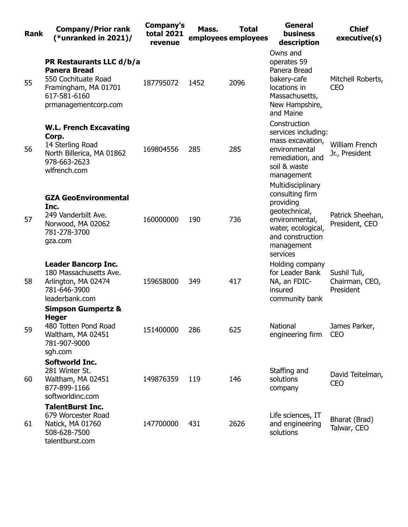| <b>Rank</b> | <b>Company/Prior rank</b><br>(*unranked in $2021$ )/                                                                                   | Company's<br><b>total 2021</b><br>revenue | Mass. | <b>Total</b><br>employees employees | <b>General</b><br><b>business</b><br>description                                                                                                         | <b>Chief</b><br>executive(s)                |
|-------------|----------------------------------------------------------------------------------------------------------------------------------------|-------------------------------------------|-------|-------------------------------------|----------------------------------------------------------------------------------------------------------------------------------------------------------|---------------------------------------------|
| 55          | PR Restaurants LLC d/b/a<br><b>Panera Bread</b><br>550 Cochituate Road<br>Framingham, MA 01701<br>617-581-6160<br>prmanagementcorp.com | 187795072                                 | 1452  | 2096                                | Owns and<br>operates 59<br>Panera Bread<br>bakery-cafe<br>locations in<br>Massachusetts,<br>New Hampshire,<br>and Maine                                  | Mitchell Roberts,<br><b>CEO</b>             |
| 56          | <b>W.L. French Excavating</b><br>Corp.<br>14 Sterling Road<br>North Billerica, MA 01862<br>978-663-2623<br>wlfrench.com                | 169804556                                 | 285   | 285                                 | Construction<br>services including:<br>mass excavation,<br>environmental<br>remediation, and<br>soil & waste<br>management                               | <b>William French</b><br>Jr., President     |
| 57          | <b>GZA GeoEnvironmental</b><br>Inc.<br>249 Vanderbilt Ave.<br>Norwood, MA 02062<br>781-278-3700<br>gza.com                             | 160000000                                 | 190   | 736                                 | Multidisciplinary<br>consulting firm<br>providing<br>geotechnical,<br>environmental,<br>water, ecological,<br>and construction<br>management<br>services | Patrick Sheehan,<br>President, CEO          |
| 58          | <b>Leader Bancorp Inc.</b><br>180 Massachusetts Ave.<br>Arlington, MA 02474<br>781-646-3900<br>leaderbank.com                          | 159658000                                 | 349   | 417                                 | Holding company<br>for Leader Bank<br>NA, an FDIC-<br>insured<br>community bank                                                                          | Sushil Tuli,<br>Chairman, CEO,<br>President |
| 59          | <b>Simpson Gumpertz &amp;</b><br>Heger<br>480 Totten Pond Road<br>Waltham, MA 02451<br>781-907-9000<br>sgh.com                         | 151400000                                 | 286   | 625                                 | National<br>engineering firm                                                                                                                             | James Parker,<br><b>CEO</b>                 |
| 60          | Softworld Inc.<br>281 Winter St.<br>Waltham, MA 02451<br>877-899-1166<br>softworldinc.com                                              | 149876359                                 | 119   | 146                                 | Staffing and<br>solutions<br>company                                                                                                                     | David Teitelman,<br><b>CEO</b>              |
| 61          | <b>TalentBurst Inc.</b><br>679 Worcester Road<br>Natick, MA 01760<br>508-628-7500<br>talentburst.com                                   | 147700000                                 | 431   | 2626                                | Life sciences, IT<br>and engineering<br>solutions                                                                                                        | Bharat (Brad)<br>Talwar, CEO                |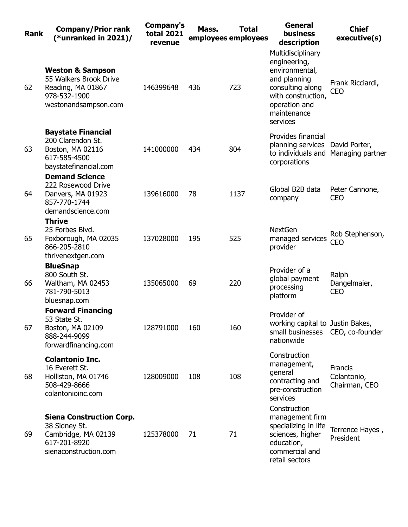| <b>Rank</b> | <b>Company/Prior rank</b><br>(*unranked in $2021$ )/                                                               | Company's<br><b>total 2021</b><br>revenue | Mass. | <b>Total</b><br>employees employees | <b>General</b><br><b>business</b><br>description                                                                                                          | <b>Chief</b><br>executive(s)            |
|-------------|--------------------------------------------------------------------------------------------------------------------|-------------------------------------------|-------|-------------------------------------|-----------------------------------------------------------------------------------------------------------------------------------------------------------|-----------------------------------------|
| 62          | <b>Weston &amp; Sampson</b><br>55 Walkers Brook Drive<br>Reading, MA 01867<br>978-532-1900<br>westonandsampson.com | 146399648                                 | 436   | 723                                 | Multidisciplinary<br>engineering,<br>environmental,<br>and planning<br>consulting along<br>with construction,<br>operation and<br>maintenance<br>services | Frank Ricciardi,<br><b>CEO</b>          |
| 63          | <b>Baystate Financial</b><br>200 Clarendon St.<br>Boston, MA 02116<br>617-585-4500<br>baystatefinancial.com        | 141000000                                 | 434   | 804                                 | Provides financial<br>planning services David Porter,<br>corporations                                                                                     | to individuals and Managing partner     |
| 64          | <b>Demand Science</b><br>222 Rosewood Drive<br>Danvers, MA 01923<br>857-770-1744<br>demandscience.com              | 139616000                                 | 78    | 1137                                | Global B2B data<br>company                                                                                                                                | Peter Cannone,<br><b>CEO</b>            |
| 65          | <b>Thrive</b><br>25 Forbes Blvd.<br>Foxborough, MA 02035<br>866-205-2810<br>thrivenextgen.com                      | 137028000                                 | 195   | 525                                 | <b>NextGen</b><br>managed services<br>provider                                                                                                            | Rob Stephenson,<br><b>CEO</b>           |
| 66          | <b>BlueSnap</b><br>800 South St.<br>Waltham, MA 02453<br>781-790-5013<br>bluesnap.com                              | 135065000                                 | 69    | 220                                 | Provider of a<br>global payment<br>processing<br>platform                                                                                                 | Ralph<br>Dangelmaier,<br><b>CEO</b>     |
| 67          | <b>Forward Financing</b><br>53 State St.<br>Boston, MA 02109<br>888-244-9099<br>forwardfinancing.com               | 128791000                                 | 160   | 160                                 | Provider of<br>working capital to Justin Bakes,<br>small businesses CEO, co-founder<br>nationwide                                                         |                                         |
| 68          | <b>Colantonio Inc.</b><br>16 Everett St.<br>Holliston, MA 01746<br>508-429-8666<br>colantonioinc.com               | 128009000                                 | 108   | 108                                 | Construction<br>management,<br>general<br>contracting and<br>pre-construction<br>services                                                                 | Francis<br>Colantonio,<br>Chairman, CEO |
| 69          | <b>Siena Construction Corp.</b><br>38 Sidney St.<br>Cambridge, MA 02139<br>617-201-8920<br>sienaconstruction.com   | 125378000                                 | 71    | 71                                  | Construction<br>management firm<br>specializing in life<br>sciences, higher<br>education,<br>commercial and<br>retail sectors                             | Terrence Hayes,<br>President            |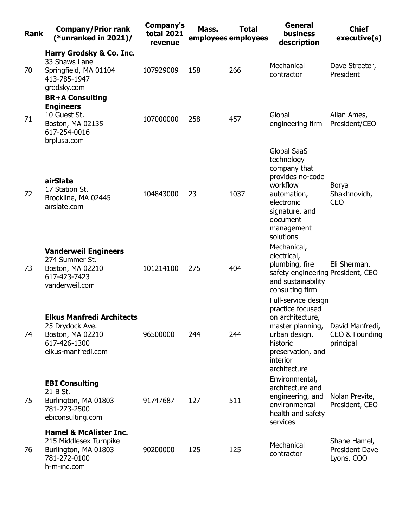| <b>Rank</b> | <b>Company/Prior rank</b><br>(*unranked in 2021)/                                                                  | Company's<br><b>total 2021</b><br>revenue | Mass. | <b>Total</b><br>employees employees | <b>General</b><br><b>business</b><br>description                                                                                                          | <b>Chief</b><br>executive(s)                        |
|-------------|--------------------------------------------------------------------------------------------------------------------|-------------------------------------------|-------|-------------------------------------|-----------------------------------------------------------------------------------------------------------------------------------------------------------|-----------------------------------------------------|
|             | Harry Grodsky & Co. Inc.<br>33 Shaws Lane                                                                          |                                           |       |                                     | Mechanical                                                                                                                                                | Dave Streeter,                                      |
| 70          | Springfield, MA 01104<br>413-785-1947<br>grodsky.com                                                               | 107929009                                 | 158   | 266                                 | contractor                                                                                                                                                | President                                           |
|             | <b>BR+A Consulting</b><br><b>Engineers</b>                                                                         |                                           |       |                                     |                                                                                                                                                           |                                                     |
| 71          | 10 Guest St.<br>Boston, MA 02135<br>617-254-0016<br>brplusa.com                                                    | 107000000                                 | 258   | 457                                 | Global<br>engineering firm                                                                                                                                | Allan Ames,<br>President/CEO                        |
| 72          | airSlate<br>17 Station St.<br>Brookline, MA 02445<br>airslate.com                                                  | 104843000                                 | 23    | 1037                                | <b>Global SaaS</b><br>technology<br>company that<br>provides no-code<br>workflow<br>automation,<br>electronic<br>signature, and<br>document<br>management | Borya<br>Shakhnovich,<br><b>CEO</b>                 |
|             |                                                                                                                    |                                           |       |                                     | solutions<br>Mechanical,                                                                                                                                  |                                                     |
| 73          | <b>Vanderweil Engineers</b><br>274 Summer St.<br>Boston, MA 02210<br>617-423-7423<br>vanderweil.com                | 101214100                                 | 275   | 404                                 | electrical,<br>plumbing, fire<br>safety engineering President, CEO<br>and sustainability<br>consulting firm                                               | Eli Sherman,                                        |
| 74          | <b>Elkus Manfredi Architects</b><br>25 Drydock Ave.<br>Boston, MA 02210<br>617-426-1300                            | 96500000                                  | 244   | 244                                 | Full-service design<br>practice focused<br>on architecture,<br>master planning,<br>urban design,<br>historic                                              | David Manfredi,<br>CEO & Founding<br>principal      |
|             | elkus-manfredi.com                                                                                                 |                                           |       |                                     | preservation, and<br>interior<br>architecture                                                                                                             |                                                     |
| 75          | <b>EBI Consulting</b><br>21 B St.<br>Burlington, MA 01803<br>781-273-2500<br>ebiconsulting.com                     | 91747687                                  | 127   | 511                                 | Environmental,<br>architecture and<br>engineering, and<br>environmental<br>health and safety<br>services                                                  | Nolan Previte,<br>President, CEO                    |
| 76          | <b>Hamel &amp; McAlister Inc.</b><br>215 Middlesex Turnpike<br>Burlington, MA 01803<br>781-272-0100<br>h-m-inc.com | 90200000                                  | 125   | 125                                 | Mechanical<br>contractor                                                                                                                                  | Shane Hamel,<br><b>President Dave</b><br>Lyons, COO |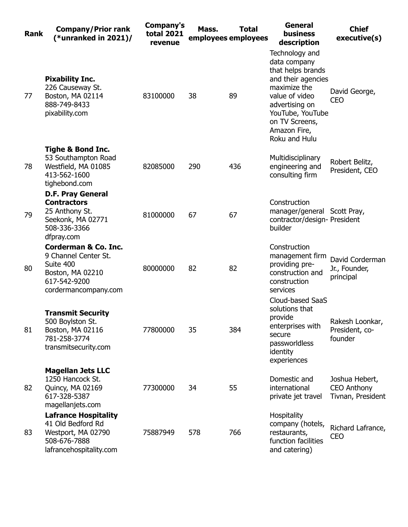| <b>Rank</b> | <b>Company/Prior rank</b><br>(*unranked in $2021$ )/                                                                             | Company's<br><b>total 2021</b><br>revenue | Mass. | <b>Total</b><br>employees employees | <b>General</b><br><b>business</b><br>description                                                                                                                                                     | <b>Chief</b><br>executive(s)                              |
|-------------|----------------------------------------------------------------------------------------------------------------------------------|-------------------------------------------|-------|-------------------------------------|------------------------------------------------------------------------------------------------------------------------------------------------------------------------------------------------------|-----------------------------------------------------------|
| 77          | <b>Pixability Inc.</b><br>226 Causeway St.<br>Boston, MA 02114<br>888-749-8433<br>pixability.com                                 | 83100000                                  | 38    | 89                                  | Technology and<br>data company<br>that helps brands<br>and their agencies<br>maximize the<br>value of video<br>advertising on<br>YouTube, YouTube<br>on TV Screens,<br>Amazon Fire,<br>Roku and Hulu | David George,<br><b>CEO</b>                               |
| 78          | <b>Tighe &amp; Bond Inc.</b><br>53 Southampton Road<br>Westfield, MA 01085<br>413-562-1600<br>tighebond.com                      | 82085000                                  | 290   | 436                                 | Multidisciplinary<br>engineering and<br>consulting firm                                                                                                                                              | Robert Belitz,<br>President, CEO                          |
| 79          | <b>D.F. Pray General</b><br><b>Contractors</b><br>25 Anthony St.<br>Seekonk, MA 02771<br>508-336-3366<br>dfpray.com              | 81000000                                  | 67    | 67                                  | Construction<br>manager/general Scott Pray,<br>contractor/design- President<br>builder                                                                                                               |                                                           |
| 80          | <b>Corderman &amp; Co. Inc.</b><br>9 Channel Center St.<br>Suite 400<br>Boston, MA 02210<br>617-542-9200<br>cordermancompany.com | 80000000                                  | 82    | 82                                  | Construction<br>management firm<br>providing pre-<br>construction and<br>construction<br>services                                                                                                    | David Corderman<br>Jr., Founder,<br>principal             |
| 81          | <b>Transmit Security</b><br>500 Boylston St.<br>Boston, MA 02116<br>781-258-3774<br>transmitsecurity.com                         | 77800000                                  | 35    | 384                                 | Cloud-based SaaS<br>solutions that<br>provide<br>enterprises with<br>secure<br>passworldless<br>identity<br>experiences                                                                              | Rakesh Loonkar,<br>President, co-<br>founder              |
| 82          | <b>Magellan Jets LLC</b><br>1250 Hancock St.<br>Quincy, MA 02169<br>617-328-5387<br>magellanjets.com                             | 77300000                                  | 34    | 55                                  | Domestic and<br>international<br>private jet travel                                                                                                                                                  | Joshua Hebert,<br><b>CEO Anthony</b><br>Tivnan, President |
| 83          | <b>Lafrance Hospitality</b><br>41 Old Bedford Rd<br>Westport, MA 02790<br>508-676-7888<br>lafrancehospitality.com                | 75887949                                  | 578   | 766                                 | Hospitality<br>company (hotels,<br>restaurants,<br>function facilities<br>and catering)                                                                                                              | Richard Lafrance,<br><b>CEO</b>                           |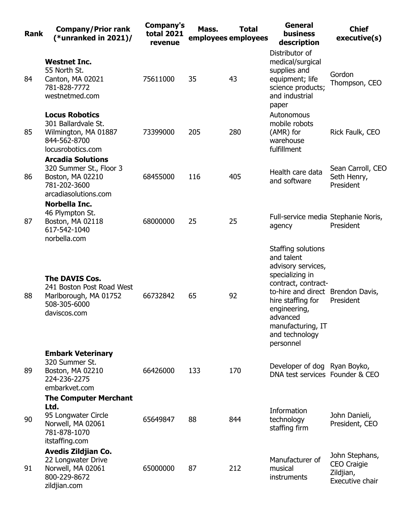| <b>Rank</b> | <b>Company/Prior rank</b><br>(*unranked in $2021$ )/                                                               | Company's<br><b>total 2021</b><br>revenue | Mass. | <b>Total</b><br>employees employees | <b>General</b><br><b>business</b><br>description                                                                                                                                                                                           | <b>Chief</b><br>executive(s)                                         |
|-------------|--------------------------------------------------------------------------------------------------------------------|-------------------------------------------|-------|-------------------------------------|--------------------------------------------------------------------------------------------------------------------------------------------------------------------------------------------------------------------------------------------|----------------------------------------------------------------------|
| 84          | <b>Westnet Inc.</b><br>55 North St.<br>Canton, MA 02021<br>781-828-7772<br>westnetmed.com                          | 75611000                                  | 35    | 43                                  | Distributor of<br>medical/surgical<br>supplies and<br>equipment; life<br>science products;<br>and industrial<br>paper                                                                                                                      | Gordon<br>Thompson, CEO                                              |
| 85          | <b>Locus Robotics</b><br>301 Ballardvale St.<br>Wilmington, MA 01887<br>844-562-8700<br>locusrobotics.com          | 73399000                                  | 205   | 280                                 | Autonomous<br>mobile robots<br>(AMR) for<br>warehouse<br>fulfillment                                                                                                                                                                       | Rick Faulk, CEO                                                      |
| 86          | <b>Arcadia Solutions</b><br>320 Summer St., Floor 3<br>Boston, MA 02210<br>781-202-3600<br>arcadiasolutions.com    | 68455000                                  | 116   | 405                                 | Health care data<br>and software                                                                                                                                                                                                           | Sean Carroll, CEO<br>Seth Henry,<br>President                        |
| 87          | Norbella Inc.<br>46 Plympton St.<br>Boston, MA 02118<br>617-542-1040<br>norbella.com                               | 68000000                                  | 25    | 25                                  | Full-service media Stephanie Noris,<br>agency                                                                                                                                                                                              | President                                                            |
| 88          | <b>The DAVIS Cos.</b><br>241 Boston Post Road West<br>Marlborough, MA 01752<br>508-305-6000<br>daviscos.com        | 66732842                                  | 65    | 92                                  | Staffing solutions<br>and talent<br>advisory services,<br>specializing in<br>contract, contract-<br>to-hire and direct Brendon Davis,<br>hire staffing for<br>engineering,<br>advanced<br>manufacturing, IT<br>and technology<br>personnel | President                                                            |
| 89          | <b>Embark Veterinary</b><br>320 Summer St.<br>Boston, MA 02210<br>224-236-2275<br>embarkvet.com                    | 66426000                                  | 133   | 170                                 | Developer of dog Ryan Boyko,<br>DNA test services Founder & CEO                                                                                                                                                                            |                                                                      |
| 90          | <b>The Computer Merchant</b><br>Ltd.<br>95 Longwater Circle<br>Norwell, MA 02061<br>781-878-1070<br>itstaffing.com | 65649847                                  | 88    | 844                                 | Information<br>technology<br>staffing firm                                                                                                                                                                                                 | John Danieli,<br>President, CEO                                      |
| 91          | <b>Avedis Zildjian Co.</b><br>22 Longwater Drive<br>Norwell, MA 02061<br>800-229-8672<br>zildjian.com              | 65000000                                  | 87    | 212                                 | Manufacturer of<br>musical<br>instruments                                                                                                                                                                                                  | John Stephans,<br><b>CEO Craigie</b><br>Zildjian,<br>Executive chair |